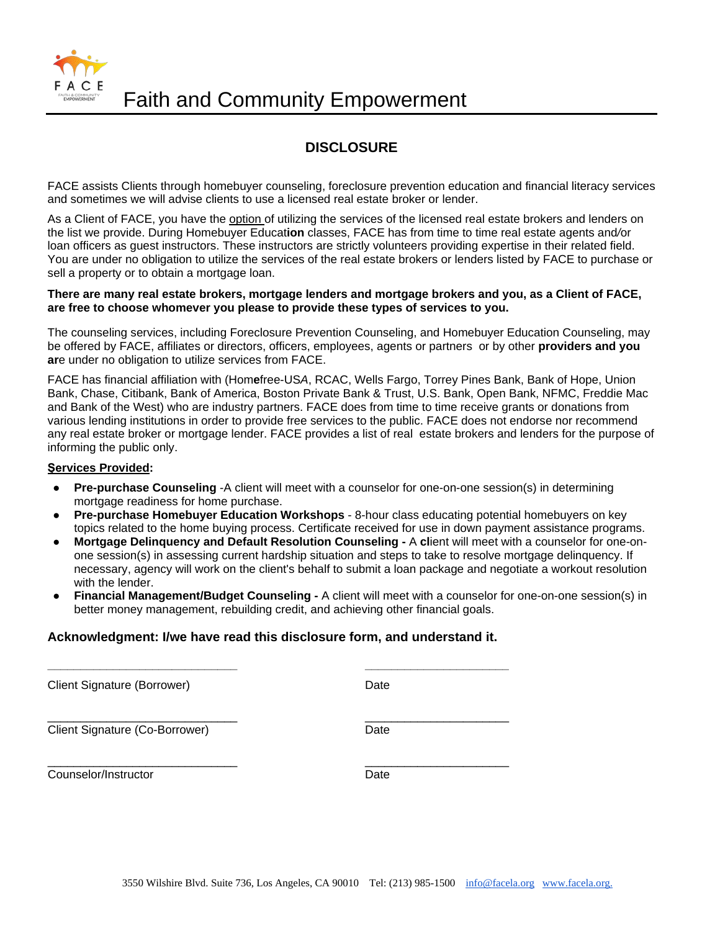

## **DISCLOSURE**

FACE assists Clients through homebuyer counseling, foreclosure prevention education and financial literacy services and sometimes we will advise clients to use a licensed real estate broker or lender.

As a Client of FACE, you have the option of utilizing the services of the licensed real estate brokers and lenders on the list we provide. During Homebuyer Educat**ion** classes, FACE has from time to time real estate agents and*/*or loan officers as guest instructors. These instructors are strictly volunteers providing expertise in their related field. You are under no obligation to utilize the services of the real estate brokers or lenders listed by FACE to purchase or sell a property or to obtain a mortgage loan.

#### **There are many real estate brokers, mortgage lenders and mortgage brokers and you, as a Client of FACE, are free to choose whomever you please to provide these types of services to you.**

The counseling services, including Foreclosure Prevention Counseling, and Homebuyer Education Counseling, may be offered by FACE, affiliates or directors, officers, employees, agents or partners or by other **providers and you ar**e under no obligation to utilize services from FACE.

FACE has financial affiliation with (Hom**e**free-US*A*, RCAC, Wells Fargo, Torrey Pines Bank, Bank of Hope, Union Bank, Chase, Citibank, Bank of America, Boston Private Bank & Trust, U.S. Bank, Open Bank, NFMC, Freddie Mac and Bank of the West) who are industry partners. FACE does from time to time receive grants or donations from various lending institutions in order to provide free services to the public. FACE does not endorse nor recommend any real estate broker or mortgage lender. FACE provides a list of real estate brokers and lenders for the purpose of informing the public only.

#### **Şervices Provided:**

- **Pre-purchase Counseling** -A client will meet with a counselor for one-on-one session(s) in determining mortgage readiness for home purchase.
- **Pre-purchase Homebuyer Education Workshops**  8-hour class educating potential homebuyers on key topics related to the home buying process. Certificate received for use in down payment assistance programs.
- **Mortgage Delinquency and Default Resolution Counseling -** A **cl**ient will meet with a counselor for one-onone session(s) in assessing current hardship situation and steps to take to resolve mortgage delinquency. If necessary, agency will work on the client's behalf to submit a loan package and negotiate a workout resolution with the lender.
- **Financial Management/Budget Counseling -** A client will meet with a counselor for one-on-one session(s) in better money management, rebuilding credit, and achieving other financial goals.

## **Acknowledgment: I/we have read this disclosure form, and understand it.**

**\_\_\_\_\_\_\_\_\_\_\_\_\_\_\_\_\_\_\_\_\_\_\_\_\_\_\_\_\_ \_\_\_\_\_\_\_\_\_\_\_\_\_\_\_\_\_\_\_\_\_\_**

Client Signature (Borrower) Date

\_\_\_\_\_\_\_\_\_\_\_\_\_\_\_\_\_\_\_\_\_\_\_\_\_\_\_\_\_ \_\_\_\_\_\_\_\_\_\_\_\_\_\_\_\_\_\_\_\_\_\_ Client Signature (Co-Borrower) Date

Counselor/Instructor **Date** 

\_\_\_\_\_\_\_\_\_\_\_\_\_\_\_\_\_\_\_\_\_\_\_\_\_\_\_\_\_ \_\_\_\_\_\_\_\_\_\_\_\_\_\_\_\_\_\_\_\_\_\_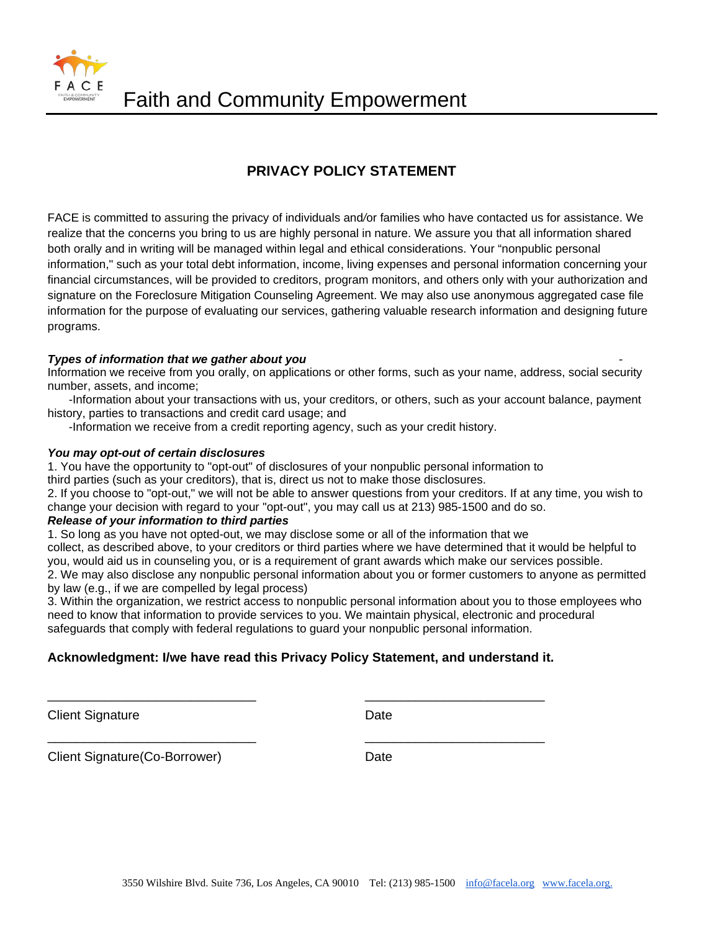Faith and Community Empowerment

## **PRIVACY POLICY STATEMENT**

FACE is committed to assuring the privacy of individuals and*/*or families who have contacted us for assistance. We realize that the concerns you bring to us are highly personal in nature. We assure you that all information shared both orally and in writing will be managed within legal and ethical considerations. Your "nonpublic personal information," such as your total debt information, income, living expenses and personal information concerning your financial circumstances, will be provided to creditors, program monitors, and others only with your authorization and signature on the Foreclosure Mitigation Counseling Agreement. We may also use anonymous aggregated case file information for the purpose of evaluating our services, gathering valuable research information and designing future programs.

## **Types of information that we gather about you**

Information we receive from you orally, on applications or other forms, such as your name, address, social security number, assets, and income;

-Information about your transactions with us, your creditors, or others, such as your account balance, payment history, parties to transactions and credit card usage; and

-Information we receive from a credit reporting agency, such as your credit history.

#### *You may opt-out of certain disclosures*

1. You have the opportunity to "opt-out" of disclosures of your nonpublic personal information to third parties (such as your creditors), that is, direct us not to make those disclosures.

2. If you choose to "opt-out," we will not be able to answer questions from your creditors. If at any time, you wish to change your decision with regard to your "opt-out", you may call us at 213) 985-1500 and do so.

#### *Release of your information to third parties*

1. So long as you have not opted-out, we may disclose some or all of the information that we collect, as described above, to your creditors or third parties where we have determined that it would be helpful to you, would aid us in counseling you, or is a requirement of grant awards which make our services possible. 2. We may also disclose any nonpublic personal information about you or former customers to anyone as permitted by law (e.g., if we are compelled by legal process)

3. Within the organization, we restrict access to nonpublic personal information about you to those employees who need to know that information to provide services to you. We maintain physical, electronic and procedural safeguards that comply with federal regulations to guard your nonpublic personal information.

## **Acknowledgment: I/we have read this Privacy Policy Statement, and understand it.**

\_\_\_\_\_\_\_\_\_\_\_\_\_\_\_\_\_\_\_\_\_\_\_\_\_\_\_\_\_ \_\_\_\_\_\_\_\_\_\_\_\_\_\_\_\_\_\_\_\_\_\_\_\_\_

\_\_\_\_\_\_\_\_\_\_\_\_\_\_\_\_\_\_\_\_\_\_\_\_\_\_\_\_\_ \_\_\_\_\_\_\_\_\_\_\_\_\_\_\_\_\_\_\_\_\_\_\_\_\_

Client Signature Date Date

Client Signature(Co-Borrower) Date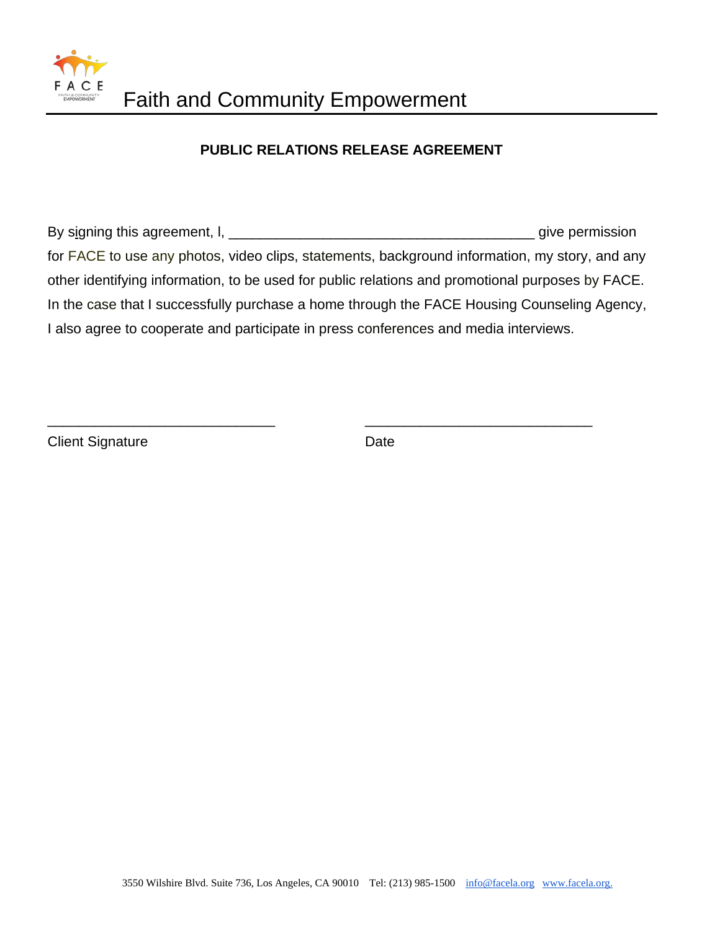

## **PUBLIC RELATIONS RELEASE AGREEMENT**

By signing this agreement, l, \_\_\_\_\_\_\_\_\_\_\_\_\_\_\_\_\_\_\_\_\_\_\_\_\_\_\_\_\_\_\_\_\_\_\_\_\_\_\_ give permission for FACE to use any photos, video clips, statements, background information, my story, and any other identifying information, to be used for public relations and promotional purposes by FACE. In the case that I successfully purchase a home through the FACE Housing Counseling Agency, I also agree to cooperate and participate in press conferences and media interviews.

\_\_\_\_\_\_\_\_\_\_\_\_\_\_\_\_\_\_\_\_\_\_\_\_\_\_\_\_\_ \_\_\_\_\_\_\_\_\_\_\_\_\_\_\_\_\_\_\_\_\_\_\_\_\_\_\_\_\_

Client Signature Date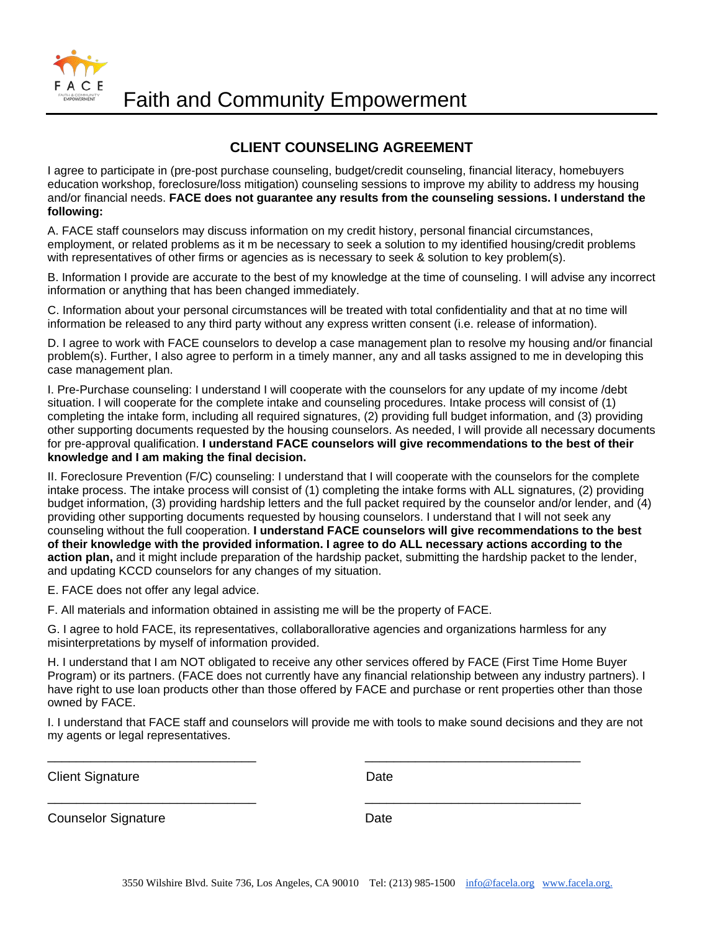Faith and Community Empowerment

## **CLIENT COUNSELING AGREEMENT**

I agree to participate in (pre-post purchase counseling, budget/credit counseling, financial literacy, homebuyers education workshop, foreclosure/loss mitigation) counseling sessions to improve my ability to address my housing and/or financial needs. **FACE does not guarantee any results from the counseling sessions. I understand the following:**

A. FACE staff counselors may discuss information on my credit history, personal financial circumstances, employment, or related problems as it m be necessary to seek a solution to my identified housing/credit problems with representatives of other firms or agencies as is necessary to seek & solution to key problem(s).

B. Information I provide are accurate to the best of my knowledge at the time of counseling. I will advise any incorrect information or anything that has been changed immediately.

C. Information about your personal circumstances will be treated with total confidentiality and that at no time will information be released to any third party without any express written consent (i.e. release of information).

D. I agree to work with FACE counselors to develop a case management plan to resolve my housing and/or financial problem(s). Further, I also agree to perform in a timely manner, any and all tasks assigned to me in developing this case management plan.

I. Pre-Purchase counseling: I understand I will cooperate with the counselors for any update of my income /debt situation. I will cooperate for the complete intake and counseling procedures. Intake process will consist of (1) completing the intake form, including all required signatures, (2) providing full budget information, and (3) providing other supporting documents requested by the housing counselors. As needed, I will provide all necessary documents for pre-approval qualification. **I understand FACE counselors will give recommendations to the best of their knowledge and I am making the final decision.** 

II. Foreclosure Prevention (F/C) counseling: I understand that I will cooperate with the counselors for the complete intake process. The intake process will consist of (1) completing the intake forms with ALL signatures, (2) providing budget information, (3) providing hardship letters and the full packet required by the counselor and/or lender, and (4) providing other supporting documents requested by housing counselors. I understand that I will not seek any counseling without the full cooperation. **I understand FACE counselors will give recommendations to the best of their knowledge with the provided information. I agree to do ALL necessary actions according to the action plan,** and it might include preparation of the hardship packet, submitting the hardship packet to the lender, and updating KCCD counselors for any changes of my situation.

E. FACE does not offer any legal advice.

F. All materials and information obtained in assisting me will be the property of FACE.

G. I agree to hold FACE, its representatives, collaborallorative agencies and organizations harmless for any misinterpretations by myself of information provided.

\_\_\_\_\_\_\_\_\_\_\_\_\_\_\_\_\_\_\_\_\_\_\_\_\_\_\_\_\_ \_\_\_\_\_\_\_\_\_\_\_\_\_\_\_\_\_\_\_\_\_\_\_\_\_\_\_\_\_\_

\_\_\_\_\_\_\_\_\_\_\_\_\_\_\_\_\_\_\_\_\_\_\_\_\_\_\_\_\_ \_\_\_\_\_\_\_\_\_\_\_\_\_\_\_\_\_\_\_\_\_\_\_\_\_\_\_\_\_\_

H. I understand that I am NOT obligated to receive any other services offered by FACE (First Time Home Buyer Program) or its partners. (FACE does not currently have any financial relationship between any industry partners). I have right to use loan products other than those offered by FACE and purchase or rent properties other than those owned by FACE.

I. I understand that FACE staff and counselors will provide me with tools to make sound decisions and they are not my agents or legal representatives.

Client Signature Date Date

FACE

Counselor Signature **Date** Date